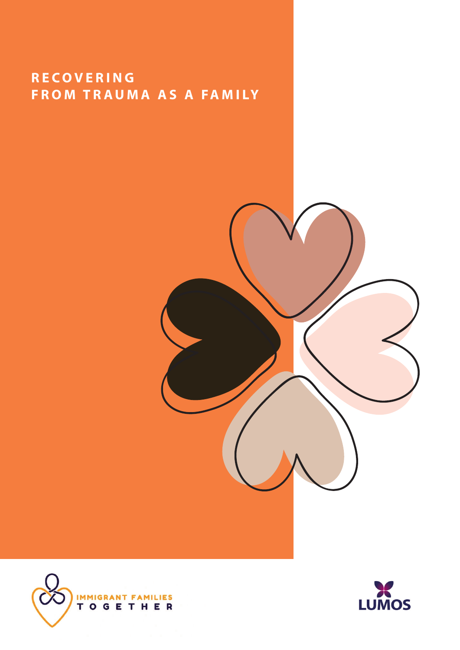### **R E C O V E R I N G FROM TRAUMA AS A FAMILY**





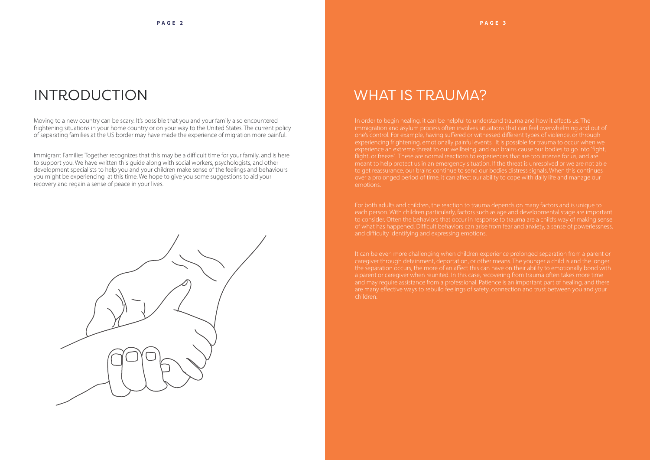### INTRODUCTION

Moving to a new country can be scary. It's possible that you and your family also encountered frightening situations in your home country or on your way to the United States. The current policy of separating families at the US border may have made the experience of migration more painful.

Immigrant Families Together recognizes that this may be a difficult time for your family, and is here to support you. We have written this guide along with social workers, psychologists, and other development specialists to help you and your children make sense of the feelings and behaviours you might be experiencing at this time. We hope to give you some suggestions to aid your recovery and regain a sense of peace in your lives.



### WHAT IS TRAUMA?

In order to begin healing, it can be helpful to understand trauma and how it affects us. The experiencing frightening, emotionally painful events. It is possible for trauma to occur when we meant to help protect us in an emergency situation. If the threat is unresolved or we are not able to get reassurance, our brains continue to send our bodies distress signals. When this continues emotions.

each person. With children particularly, factors such as age and developmental stage are important of what has happened. Difficult behaviors can arise from fear and anxiety, a sense of powerlessness,

the separation occurs, the more of an affect this can have on their ability to emotionally bond with children.

#### **PAGE 3**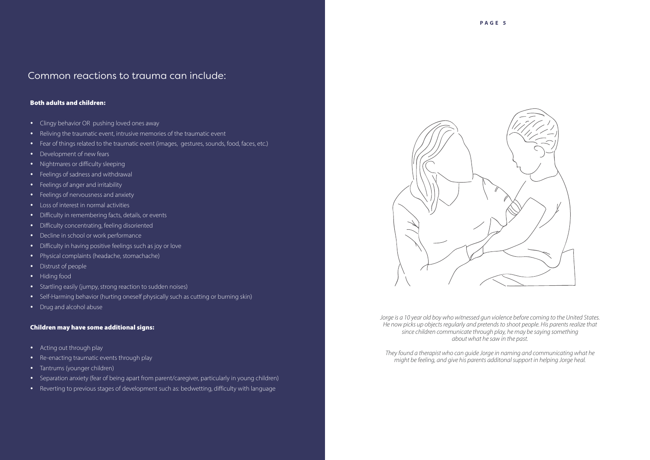#### Common reactions to trauma can include:

#### Both adults and children:

- Clingy behavior OR pushing loved ones away
- Reliving the traumatic event, intrusive memories of the traumatic event
- Fear of things related to the traumatic event (images, gestures, sounds, food, faces, etc.)
- Development of new fears
- Nightmares or difficulty sleeping
- Feelings of sadness and withdrawal
- Feelings of anger and irritability
- Feelings of nervousness and anxiety
- Loss of interest in normal activities
- Difficulty in remembering facts, details, or events
- Difficulty concentrating, feeling disoriented
- Decline in school or work performance
- Difficulty in having positive feelings such as joy or love
- Physical complaints (headache, stomachache)
- Distrust of people
- Hiding food
- Startling easily (jumpy, strong reaction to sudden noises)
- Self-Harming behavior (hurting oneself physically such as cutting or burning skin)
- Drug and alcohol abuse

#### Children may have some additional signs:

- Acting out through play
- Re-enacting traumatic events through play
- Tantrums (younger children)
- Separation anxiety (fear of being apart from parent/caregiver, particularly in young children)
- Reverting to previous stages of development such as: bedwetting, difficulty with language



*Jorge is a 10 year old boy who witnessed gun violence before coming to the United States. He now picks up objects regularly and pretends to shoot people. His parents realize that since children communicate through play, he may be saying something about what he saw in the past.* 

*They found a therapist who can guide Jorge in naming and communicating what he might be feeling, and give his parents additonal support in helping Jorge heal.*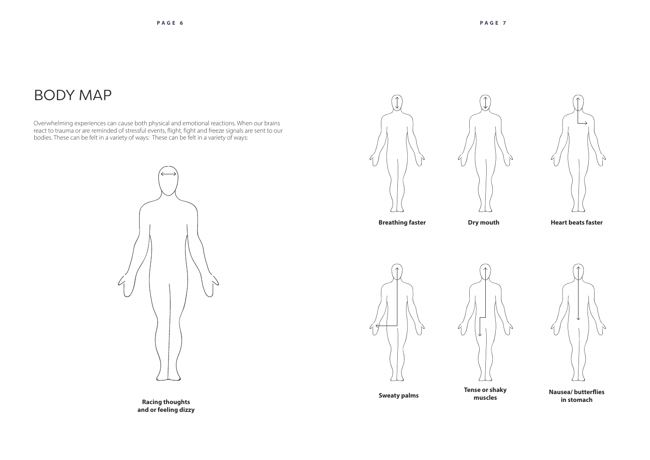**Racing thoughts and or feeling dizzy**



Overwhelming experiences can cause both physical and emotional reactions. When our brains react to trauma or are reminded of stressful events, flight, fight and freeze signals are sent to our bodies. These can be felt in a variety of ways: These can be felt in a variety of ways:



### BODY MAP



**Heart beats faster**

**Sweaty palms Tense or shaky** 

**muscles**







**Nausea/ butterflies in stomach**

**Breathing faster Dry mouth**



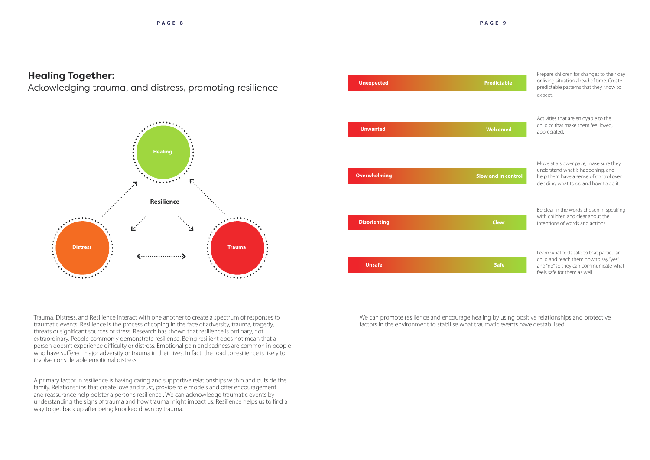### **Healing Together:**

Ackowledging trauma, and distress, promoting resilience







We can promote resilience and encourage healing by using positive relationships and protective factors in the environment to stabilise what traumatic events have destabilised.

Trauma, Distress, and Resilience interact with one another to create a spectrum of responses to traumatic events. Resilience is the process of coping in the face of adversity, trauma, tragedy, threats or significant sources of stress. Research has shown that resilience is ordinary, not extraordinary. People commonly demonstrate resilience. Being resilient does not mean that a person doesn't experience difficulty or distress. Emotional pain and sadness are common in people who have suffered major adversity or trauma in their lives. In fact, the road to resilience is likely to involve considerable emotional distress.

A primary factor in resilience is having caring and supportive relationships within and outside the family. Relationships that create love and trust, provide role models and offer encouragement and reassurance help bolster a person's resilience . We can acknowledge traumatic events by understanding the signs of trauma and how trauma might impact us. Resilience helps us to find a way to get back up after being knocked down by trauma.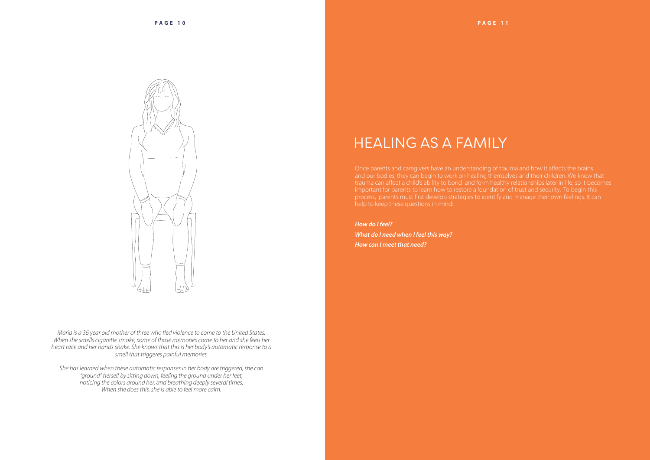

*Maria is a 36 year old mother of three who fled violence to come to the United States. When she smells cigarette smoke, some of those memories come to her and she feels her heart race and her hands shake. She knows that this is her body's automatic response to a smell that triggeres painful memories.* 

Once parents and caregivers have an understanding of trauma and how it affects the brains important for parents to learn how to restore a foundation of trust and security. To begin this

*She has learned when these automatic responses in her body are triggered, she can "ground" herself by sitting down, feeling the ground under her feet, noticing the colors around her, and breathing deeply several times. When she does this, she is able to feel more calm.*



### HEALING AS A FAMILY

#### *How do I feel?*

*What do I need when I feel this way? How can I meet that need?*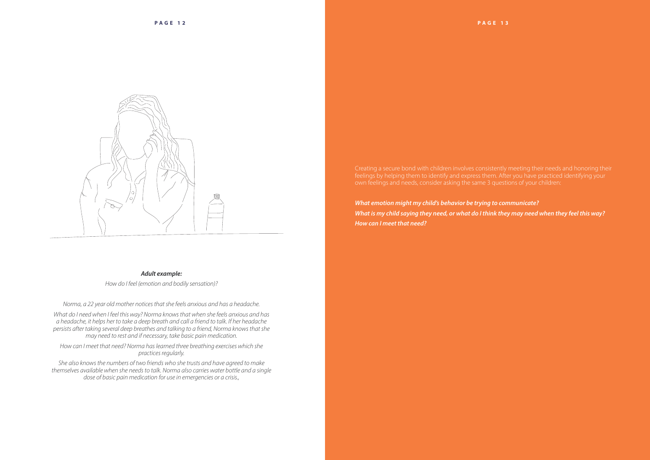

#### *Adult example:*

*How do I feel (emotion and bodily sensation)?* 

*Norma, a 22 year old mother notices that she feels anxious and has a headache.*

*What do I need when I feel this way? Norma knows that when she feels anxious and has a headache, it helps her to take a deep breath and call a friend to talk. If her headache persists after taking several deep breathes and talking to a friend, Norma knows that she may need to rest and if necessary, take basic pain medication.* 

*How can I meet that need? Norma has learned three breathing exercises which she practices regularly.* 

*She also knows the numbers of two friends who she trusts and have agreed to make themselves available when she needs to talk. Norma also carries water bottle and a single dose of basic pain medication for use in emergencies or a crisis.,*

*What emotion might my child's behavior be trying to communicate? What is my child saying they need, or what do I think they may need when they feel this way? How can I meet that need?*

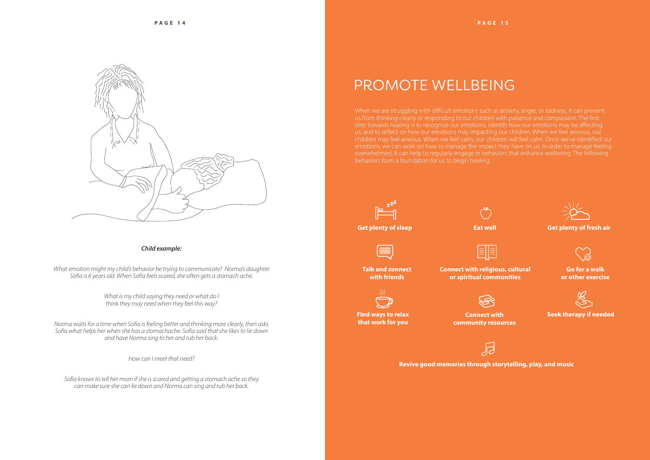

#### *Child example:*

*What emotion might my child's behavior be trying to communicate? Norma's daughter Sofia is 6 years old. When Sofia feels scared, she often gets a stomach ache.*

> *What is my child saying they need or what do I think they may need when they feel this way?*

*Norma waits for a time when Sofia is feeling better and thinking more clearly, then asks Sofia what helps her when she has a stomachache. Sofia said that she likes to lie down and have Norma sing to her and rub her back.*

*How can I meet that need?* 

*Sofia knows to tell her mom if she is scared and getting a stomach ache so they can make sure she can lie down and Norma can sing and rub her back.*

# PROMOTE WELLBEING

When we are struggling with difficult emotions such as anxiety, anger, or sadness, it can prevent us from thinking clearly or responding to our children with patience and compassion. The first behaviors form a foundation for us to begin healing:



#### **Get plenty of sleep Eat well Get plenty of fresh air**



**Find ways to relax that work for you**

**Connect with community resources**

同

**Revive good memories through storytelling, play, and music**

**Seek therapy if needed**



**Talk and connect with friends**

**Connect with religious, cultural or spiritual communities**



**Go for a walk or other exercise**



#### **PAGE 1 5**





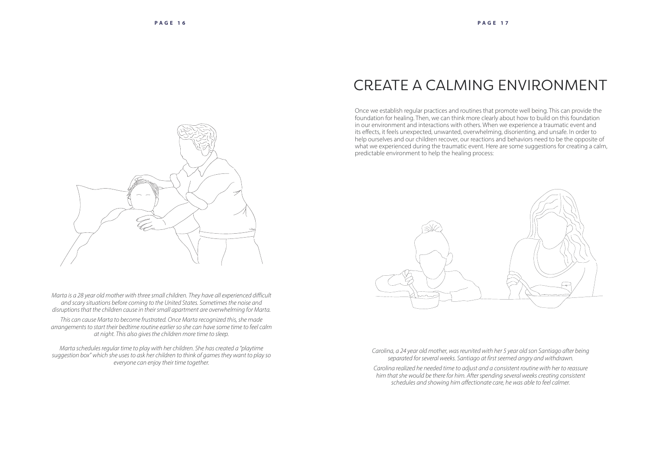*Marta is a 28 year old mother with three small children. They have all experienced difficult and scary situations before coming to the United States. Sometimes the noise and disruptions that the children cause in their small apartment are overwhelming for Marta.* 

*This can cause Marta to become frustrated. Once Marta recognized this, she made arrangements to start their bedtime routine earlier so she can have some time to feel calm at night. This also gives the children more time to sleep.* 

*Marta schedules regular time to play with her children. She has created a "playtime suggestion box" which she uses to ask her children to think of games they want to play so everyone can enjoy their time together.*



*Carolina, a 24 year old mother, was reunited with her 5 year old son Santiago after being separated for several weeks. Santiago at first seemed angry and withdrawn.* 

*Carolina realized he needed time to adjust and a consistent routine with her to reassure him that she would be there for him. After spending several weeks creating consistent schedules and showing him affectionate care, he was able to feel calmer.*



# CREATE A CALMING ENVIRONMENT

Once we establish regular practices and routines that promote well being. This can provide the foundation for healing. Then, we can think more clearly about how to build on this foundation in our environment and interactions with others. When we experience a traumatic event and its effects, it feels unexpected, unwanted, overwhelming, disorienting, and unsafe. In order to help ourselves and our children recover, our reactions and behaviors need to be the opposite of what we experienced during the traumatic event. Here are some suggestions for creating a calm, predictable environment to help the healing process:

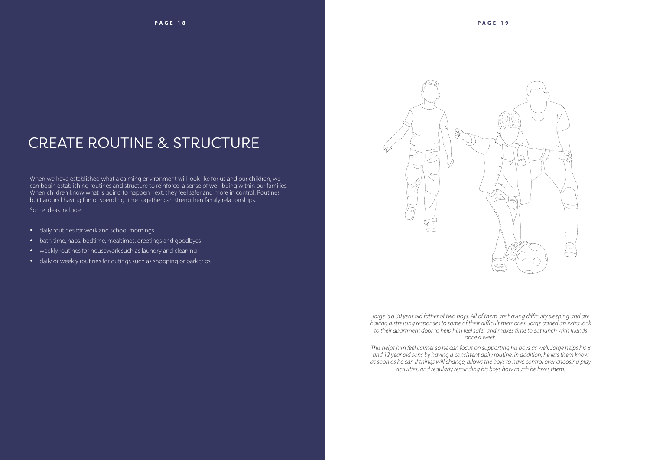# CREATE ROUTINE & STRUCTURE

When we have established what a calming environment will look like for us and our children, we can begin establishing routines and structure to reinforce a sense of well-being within our families. When children know what is going to happen next, they feel safer and more in control. Routines built around having fun or spending time together can strengthen family relationships.

Some ideas include:

- daily routines for work and school mornings
- bath time, naps. bedtime, mealtimes, greetings and goodbyes
- weekly routines for housework such as laundry and cleaning
- daily or weekly routines for outings such as shopping or park trips



*Jorge is a 30 year old father of two boys. All of them are having difficulty sleeping and are having distressing responses to some of their difficult memories. Jorge added an extra lock to their apartment door to help him feel safer and makes time to eat lunch with friends once a week.* 

*This helps him feel calmer so he can focus on supporting his boys as well. Jorge helps his 8 and 12 year old sons by having a consistent daily routine. In addition, he lets them know as soon as he can if things will change, allows the boys to have control over choosing play activities, and regularly reminding his boys how much he loves them.*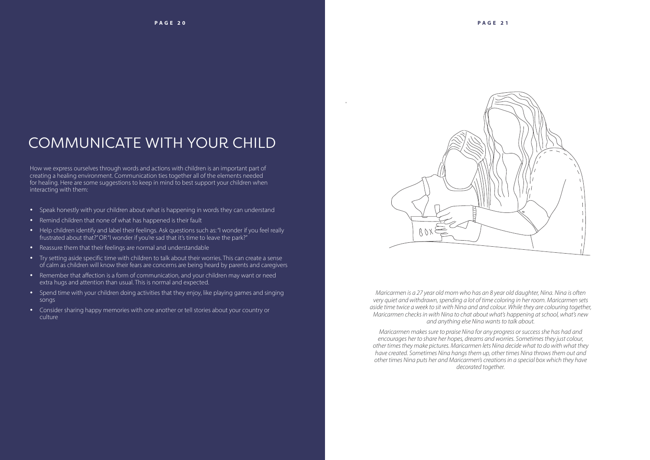# COMMUNICATE WITH YOUR CHILD

How we express ourselves through words and actions with children is an important part of creating a healing environment. Communication ties together all of the elements needed for healing. Here are some suggestions to keep in mind to best support your children when interacting with them:

- Speak honestly with your children about what is happening in words they can understand
- Remind children that none of what has happened is their fault
- Help children identify and label their feelings. Ask questions such as: "I wonder if you feel really frustrated about that?" OR "I wonder if you're sad that it's time to leave the park?"
- Reassure them that their feelings are normal and understandable
- Try setting aside specific time with children to talk about their worries. This can create a sense of calm as children will know their fears are concerns are being heard by parents and caregivers
- Remember that affection is a form of communication, and your children may want or need extra hugs and attention than usual. This is normal and expected.
- Spend time with your children doing activities that they enjoy, like playing games and singing songs
- Consider sharing happy memories with one another or tell stories about your country or culture



*Maricarmen is a 27 year old mom who has an 8 year old daughter, Nina. Nina is often very quiet and withdrawn, spending a lot of time coloring in her room. Maricarmen sets aside time twice a week to sit with Nina and and colour. While they are colouring together, Maricarmen checks in with Nina to chat about what's happening at school, what's new and anything else Nina wants to talk about.* 

*Maricarmen makes sure to praise Nina for any progress or success she has had and encourages her to share her hopes, dreams and worries. Sometimes they just colour, other times they make pictures. Maricarmen lets Nina decide what to do with what they have created. Sometimes Nina hangs them up, other times Nina throws them out and other times Nina puts her and Maricarmen's creations in a special box which they have decorated together.*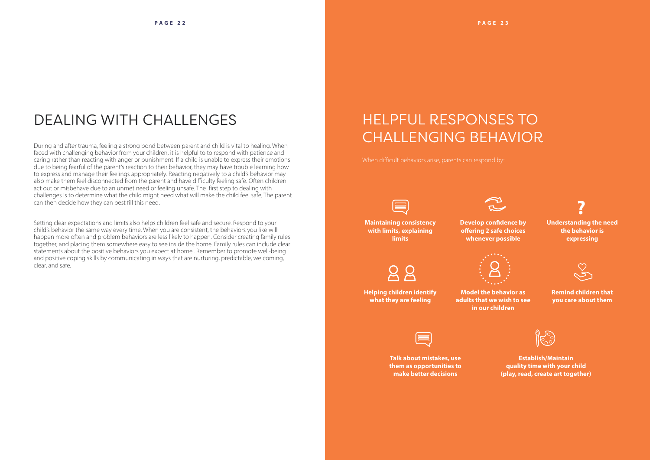## DEALING WITH CHALLENGES

During and after trauma, feeling a strong bond between parent and child is vital to healing. When faced with challenging behavior from your children, it is helpful to to respond with patience and caring rather than reacting with anger or punishment. If a child is unable to express their emotions due to being fearful of the parent's reaction to their behavior, they may have trouble learning how to express and manage their feelings appropriately. Reacting negatively to a child's behavior may also make them feel disconnected from the parent and have difficulty feeling safe. Often children act out or misbehave due to an unmet need or feeling unsafe. The first step to dealing with challenges is to determine what the child might need what will make the child feel safe, The parent can then decide how they can best fill this need.

Setting clear expectations and limits also helps children feel safe and secure. Respond to your child's behavior the same way every time. When you are consistent, the behaviors you like will happen more often and problem behaviors are less likely to happen. Consider creating family rules together, and placing them somewhere easy to see inside the home. Family rules can include clear statements about the positive behaviors you expect at home.. Remember to promote well-being and positive coping skills by communicating in ways that are nurturing, predictable, welcoming, clear, and safe.

# HELPFUL RESPONSES TO CHALLENGING BEHAVIOR

When difficult behaviors arise, parents can respond by:

**Maintaining consistency with limits, explaining limits**

**Develop confidence by offering 2 safe choices whenever possible**

 $98$ 

**Understanding the need the behavior is expressing**



**Helping children identify what they are feeling**

**Model the behavior as adults that we wish to see in our children**



**Remind children that you care about them**



**Talk about mistakes, use them as opportunities to make better decisions**

**Establish/Maintain quality time with your child (play, read, create art together)**







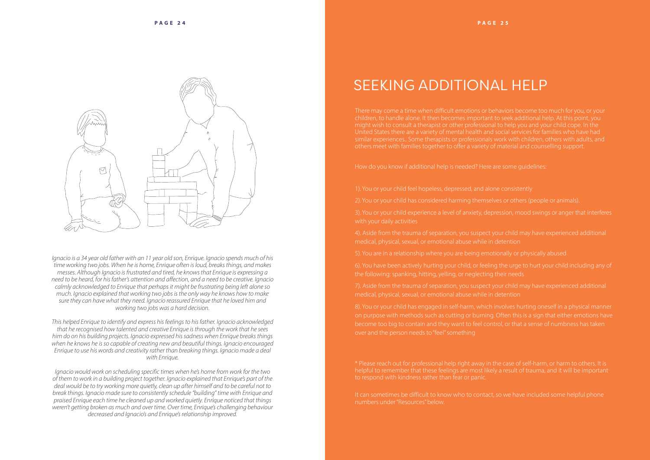

*Ignacio is a 34 year old father with an 11 year old son, Enrique. Ignacio spends much of his time working two jobs. When he is home, Enrique often is loud, breaks things, and makes messes. Although Ignacio is frustrated and tired, he knows that Enrique is expressing a need to be heard, for his father's attention and affection, and a need to be creative. Ignacio calmly acknowledged to Enrique that perhaps it might be frustrating being left alone so much. Ignacio explained that working two jobs is the only way he knows how to make sure they can have what they need. Ignacio reassured Enrique that he loved him and working two jobs was a hard decision.* 

*This helped Enrique to identify and express his feelings to his father. Ignacio acknowledged that he recognised how talented and creative Enrique is through the work that he sees him do on his building projects. Ignacio expressed his sadness when Enrique breaks things when he knows he is so capable of creating new and beautiful things. Ignacio encouraged Enrique to use his words and creativity rather than breaking things. Ignacio made a deal with Enrique.*

*Ignacio would work on scheduling specific times when he's home from work for the two of them to work in a building project together. Ignacio explained that Enrique's part of the deal would be to try working more quietly, clean up after himself and to be careful not to break things. Ignacio made sure to consistently schedule "building" time with Enrique and praised Enrique each time he cleaned up and worked quietly. Enrique noticed that things weren't getting broken as much and over time. Over time, Enrique's challenging behaviour decreased and Ignacio's and Enrique's relationship improved.*

# SEEKING ADDITIONAL HELP

children, to handle alone. It then becomes important to seek additional help. At this point, you might wish to consult a therapist or other professional to help you and your child cope. In the similar experiences.. Some therapists or professionals work with children, others with adults, and others meet with families together to offer a variety of material and counselling support.

How do you know if additional help is needed? Here are some guidelines:

1). You or your child feel hopeless, depressed, and alone consistently

2). You or your child has considered harming themselves or others (people or animals).

3). You or your child experience a level of anxiety, depression, mood swings or anger that interferes

medical, physical, sexual, or emotional abuse while in detention

7). Aside from the trauma of separation, you suspect your child may have experienced additional

over and the person needs to "feel" something

It can sometimes be difficult to know who to contact, so we have included some helpful phone numbers under "Resources" below.

- 
- 
- 
- 
- 
- 
- 
-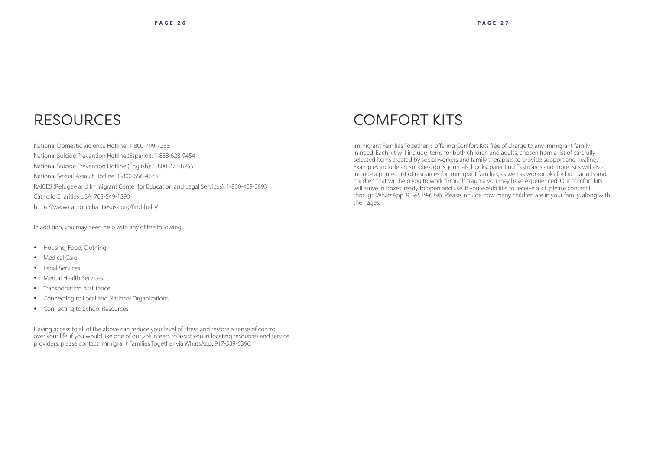### RESOURCES

National Domestic Violence Hotline: 1-800-799-7233 National Suicide Prevention Hotline (Espanol): 1-888-628-9454 National Suicide Prevention Hotline (English): 1-800-273-8255 National Sexual Assault Hotline: 1-800-656-4673 RAICES (Refugee and Immigrant Center for Education and Legal Services): 1-800-409-2893 Catholic Charities USA: 703-549-1390 https://www.catholiccharitiesusa.org/find-help/

In addition, you may need help with any of the following:

- Housing, Food, Clothing
- Medical Care
- Legal Services
- Mental Health Services
- Transportation Assistance
- Connecting to Local and National Organizations
- Connecting to School Resources

Having access to all of the above can reduce your level of stress and restore a sense of control over your life. if you would like one of our volunteers to assist you in locating resources and service providers, please contact Immigrant Families Together via WhatsApp: 917-539-6396.

## COMFORT KITS

Immigrant Families Together is offering Comfort Kits free of charge to any immigrant family in need. Each kit will include items for both children and adults, chosen from a list of carefully selected items created by social workers and family therapists to provide support and healing. Examples include art supplies, dolls, journals, books, parenting flashcards and more. Kits will also include a printed list of resources for immigrant families, as well as workbooks for both adults and children that will help you to work through trauma you may have experienced. Our comfort kits will arrive in boxes, ready to open and use. If you would like to receive a kit, please contact IFT through WhatsApp: 919-539-6396. Please include how many children are in your family, along with their ages.